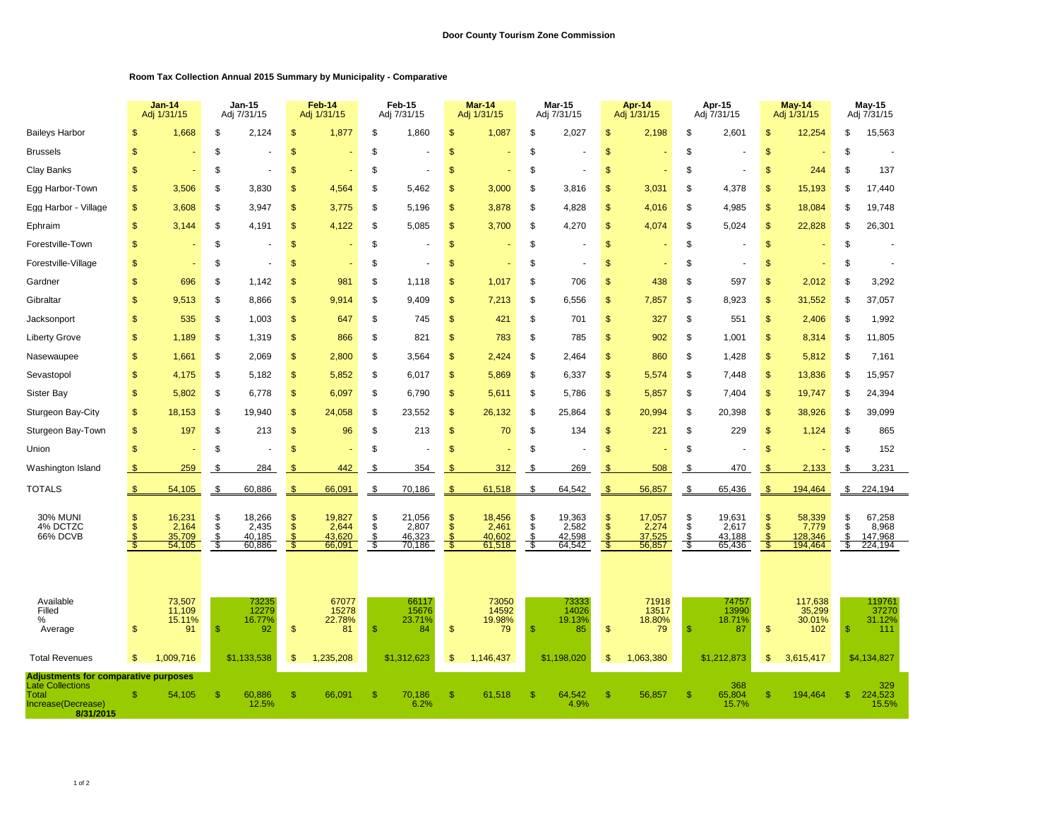## **Room Tax Collection Annual 2015 Summary by Municipality - Comparative**

|                                                                                                                    |                | Jan-14<br>Adj 1/31/15                         |                     | <b>Jan-15</b><br>Adj 7/31/15        |                                          | Feb-14<br>Adj 1/31/15               |                        | Feb-15<br>Adj 7/31/15               |                           | Mar-14<br>Adj 1/31/15               |                      | Mar-15<br>Adj 7/31/15               |                           | Apr-14<br>Adj 1/31/15               |                      | Apr-15<br>Adj 7/31/15               |                          | May-14<br>Adj 1/31/15                 |                      | May-15<br>Adj 7/31/15                 |
|--------------------------------------------------------------------------------------------------------------------|----------------|-----------------------------------------------|---------------------|-------------------------------------|------------------------------------------|-------------------------------------|------------------------|-------------------------------------|---------------------------|-------------------------------------|----------------------|-------------------------------------|---------------------------|-------------------------------------|----------------------|-------------------------------------|--------------------------|---------------------------------------|----------------------|---------------------------------------|
| <b>Baileys Harbor</b>                                                                                              | \$             | 1,668                                         | \$                  | 2,124                               | \$                                       | 1,877                               | \$                     | 1,860                               | $\mathfrak{s}$            | 1,087                               | \$                   | 2,027                               | <sup>\$</sup>             | 2,198                               | \$                   | 2,601                               | \$                       | 12,254                                | \$                   | 15,563                                |
| <b>Brussels</b>                                                                                                    | $\mathsf{\$}$  |                                               | \$                  |                                     | $\mathsf{\$}$                            |                                     | \$                     |                                     | $\frac{1}{2}$             |                                     | \$                   |                                     | \$                        |                                     | \$                   |                                     | $\mathsf{\$}$            |                                       | \$                   |                                       |
| Clay Banks                                                                                                         | \$             |                                               | \$                  |                                     | S                                        |                                     | \$                     |                                     | $\mathfrak{s}$            |                                     | S                    |                                     | <sup>\$</sup>             |                                     | \$                   |                                     | $\mathfrak{s}$           | 244                                   | \$                   | 137                                   |
| Egg Harbor-Town                                                                                                    | \$             | 3,506                                         | \$                  | 3,830                               | \$                                       | 4,564                               | \$                     | 5,462                               | \$                        | 3,000                               | \$                   | 3,816                               | \$                        | 3,031                               | \$                   | 4,378                               | <sup>\$</sup>            | 15,193                                | \$                   | 17,440                                |
| Egg Harbor - Village                                                                                               | \$             | 3,608                                         | \$                  | 3,947                               | \$                                       | 3,775                               | \$                     | 5,196                               | \$                        | 3,878                               | \$                   | 4,828                               | \$                        | 4,016                               | \$                   | 4,985                               | \$                       | 18,084                                | \$                   | 19,748                                |
| Ephraim                                                                                                            | \$             | 3,144                                         | \$                  | 4,191                               | \$                                       | 4,122                               | \$                     | 5,085                               | $\frac{1}{2}$             | 3,700                               | \$                   | 4,270                               | \$                        | 4,074                               | \$                   | 5,024                               | \$                       | 22,828                                | \$                   | 26,301                                |
| Forestville-Town                                                                                                   | \$             |                                               | \$                  |                                     | \$                                       |                                     | \$                     |                                     | $\frac{1}{2}$             |                                     | \$                   |                                     | \$                        |                                     | \$                   |                                     | \$                       |                                       | \$                   |                                       |
| Forestville-Village                                                                                                | \$             |                                               | \$                  |                                     | \$                                       |                                     | \$                     |                                     | $\mathfrak{s}$            |                                     | \$                   |                                     | \$                        |                                     | \$                   |                                     | <sup>\$</sup>            |                                       | \$                   |                                       |
| Gardner                                                                                                            | $\mathbf{s}$   | 696                                           | \$                  | 1,142                               | \$                                       | 981                                 | \$                     | 1,118                               | \$                        | 1,017                               | \$                   | 706                                 | \$                        | 438                                 | \$                   | 597                                 | $\mathbf{s}$             | 2,012                                 | \$                   | 3,292                                 |
| Gibraltar                                                                                                          | $\mathsf{\$}$  | 9,513                                         | \$                  | 8,866                               | \$                                       | 9,914                               | \$                     | 9,409                               | $\mathsf{\$}$             | 7,213                               | \$                   | 6,556                               | $\mathsf{\$}$             | 7,857                               | \$                   | 8,923                               | $\mathsf{\$}$            | 31,552                                | \$                   | 37,057                                |
| Jacksonport                                                                                                        | $\mathfrak{s}$ | 535                                           | \$                  | 1,003                               | $\mathfrak{s}$                           | 647                                 | \$                     | 745                                 | $\mathfrak{s}$            | 421                                 | \$                   | 701                                 | <sup>\$</sup>             | 327                                 | \$                   | 551                                 | $\mathbb{S}$             | 2,406                                 | \$                   | 1,992                                 |
| <b>Liberty Grove</b>                                                                                               | \$             | 1,189                                         | \$                  | 1,319                               | \$                                       | 866                                 | \$                     | 821                                 | $\frac{1}{2}$             | 783                                 | \$                   | 785                                 | \$                        | 902                                 | \$                   | 1,001                               | $\mathsf{\$}$            | 8,314                                 | \$                   | 11,805                                |
| Nasewaupee                                                                                                         | $\mathfrak{s}$ | 1,661                                         | \$                  | 2,069                               | \$                                       | 2,800                               | \$                     | 3,564                               | \$                        | 2,424                               | \$                   | 2,464                               | $\mathbf{s}$              | 860                                 | \$                   | 1,428                               | $\mathbf{s}$             | 5,812                                 | \$                   | 7,161                                 |
| Sevastopol                                                                                                         | $\mathbf{\$}$  | 4,175                                         | \$                  | 5.182                               | \$                                       | 5,852                               | \$                     | 6.017                               | \$                        | 5,869                               | \$                   | 6,337                               | $\mathbf{\$}$             | 5.574                               | \$                   | 7.448                               | $\mathbf{s}$             | 13,836                                | \$                   | 15,957                                |
| Sister Bay                                                                                                         | $\mathbf{s}$   | 5,802                                         | \$                  | 6,778                               | \$                                       | 6,097                               | \$                     | 6,790                               | $\frac{1}{2}$             | 5,611                               | \$                   | 5,786                               | $\mathbf{s}$              | 5,857                               | \$                   | 7,404                               | $\mathsf{\$}$            | 19,747                                | \$                   | 24,394                                |
| Sturgeon Bay-City                                                                                                  | \$             | 18,153                                        | \$                  | 19,940                              | \$                                       | 24,058                              | \$                     | 23,552                              | $\mathfrak{s}$            | 26,132                              | \$                   | 25,864                              | \$                        | 20,994                              | \$                   | 20,398                              | \$                       | 38,926                                | \$                   | 39,099                                |
| Sturgeon Bay-Town                                                                                                  | \$             | 197                                           | \$                  | 213                                 | \$                                       | 96                                  | \$                     | 213                                 | $\frac{1}{2}$             | 70                                  | \$                   | 134                                 | \$                        | 221                                 | \$                   | 229                                 | \$                       | 1,124                                 | \$                   | 865                                   |
| Union                                                                                                              | $\mathsf{\$}$  |                                               | \$                  |                                     | \$                                       |                                     | \$                     |                                     | \$                        |                                     | \$                   |                                     | $\mathbf{s}$              |                                     | \$                   |                                     | $\mathbf{s}$             |                                       | \$                   | 152                                   |
| Washington Island                                                                                                  | \$             | 259                                           | \$                  | 284                                 | \$                                       | 442                                 | \$                     | 354                                 | S.                        | 312                                 | S                    | 269                                 | \$                        | 508                                 | -\$                  | 470                                 | -SS                      | 2,133                                 | \$                   | 3,231                                 |
| <b>TOTALS</b>                                                                                                      | \$             | 54,105                                        | \$                  | 60,886                              | \$                                       | 66,091                              | \$                     | 70,186                              | $\frac{3}{2}$             | 61,518                              | \$                   | 64,542                              | $\frac{1}{2}$             | 56,857                              | \$                   | 65,436                              | \$                       | 194,464                               | $\frac{3}{2}$        | 224,194                               |
| <b>30% MUNI</b><br>4% DCTZC<br>66% DCVB                                                                            | \$             | 16,231<br>2,164<br>35,709<br>54,105           | \$<br>\$<br>\$<br>S | 18,266<br>2,435<br>40,185<br>60,886 | \$<br>$\ddot{\$}$<br>$\mathfrak{L}$<br>S | 19,827<br>2,644<br>43,620<br>66,091 | \$<br>\$<br>\$.<br>-\$ | 21,056<br>2,807<br>46,323<br>70,186 | $\frac{1}{2}$<br>Ŝ.<br>-5 | 18,456<br>2,461<br>40,602<br>61,518 | \$<br>\$<br>\$<br>\$ | 19,363<br>2,582<br>42,598<br>64,542 | $\frac{3}{2}$<br>\$<br>-5 | 17,057<br>2,274<br>37,525<br>56,857 | \$<br>\$<br>\$<br>S. | 19,631<br>2,617<br>43,188<br>65,436 | $\mathcal{S}$<br>Ŝ<br>-5 | 58,339<br>7,779<br>128,346<br>194,464 | \$<br>\$<br>\$<br>\$ | 67,258<br>8,968<br>147,968<br>224,194 |
| Available<br>Filled<br>%<br>Average                                                                                | \$             | 73,507<br>11,109<br>15.11%<br>91<br>1.009.716 | <sup>\$</sup>       | 73235<br>12279<br>16.77%<br>92      | \$<br>\$                                 | 67077<br>15278<br>22.78%<br>81      | $\mathbf{\$}$          | 66117<br>15676<br>23.71%<br>84      | $\mathfrak{s}$            | 73050<br>14592<br>19.98%<br>79      | \$                   | 73333<br>14026<br>19.13%<br>85      | \$                        | 71918<br>13517<br>18.80%<br>79      | \$                   | 74757<br>13990<br>18.71%<br>87      | \$<br>\$.                | 117,638<br>35,299<br>30.01%<br>102    | \$.                  | 119761<br>37270<br>31.12%<br>111      |
| <b>Total Revenues</b>                                                                                              | \$             |                                               |                     | \$1,133,538                         |                                          | 1,235,208                           |                        | \$1,312,623                         | \$                        | 1,146,437                           |                      | \$1,198,020                         | \$                        | 1,063,380                           |                      | \$1,212,873                         |                          | 3,615,417                             |                      | \$4,134,827                           |
| <b>Adjustments for comparative purposes</b><br><b>Late Collections</b><br>Total<br>Increase(Decrease)<br>8/31/2015 | $\mathbb{S}$   | 54,105                                        | $\mathbb{S}$        | 60,886<br>12.5%                     | $\mathsf{\$}$                            | 66,091                              | $\mathsf{\$}$          | 70,186<br>6.2%                      | $\mathfrak{s}$            | 61,518                              | \$.                  | 64,542<br>4.9%                      | <sup>\$</sup>             | 56,857                              | <sup>\$</sup>        | 368<br>65,804<br>15.7%              | <sup>\$</sup>            | 194,464                               | -S                   | 329<br>224,523<br>15.5%               |